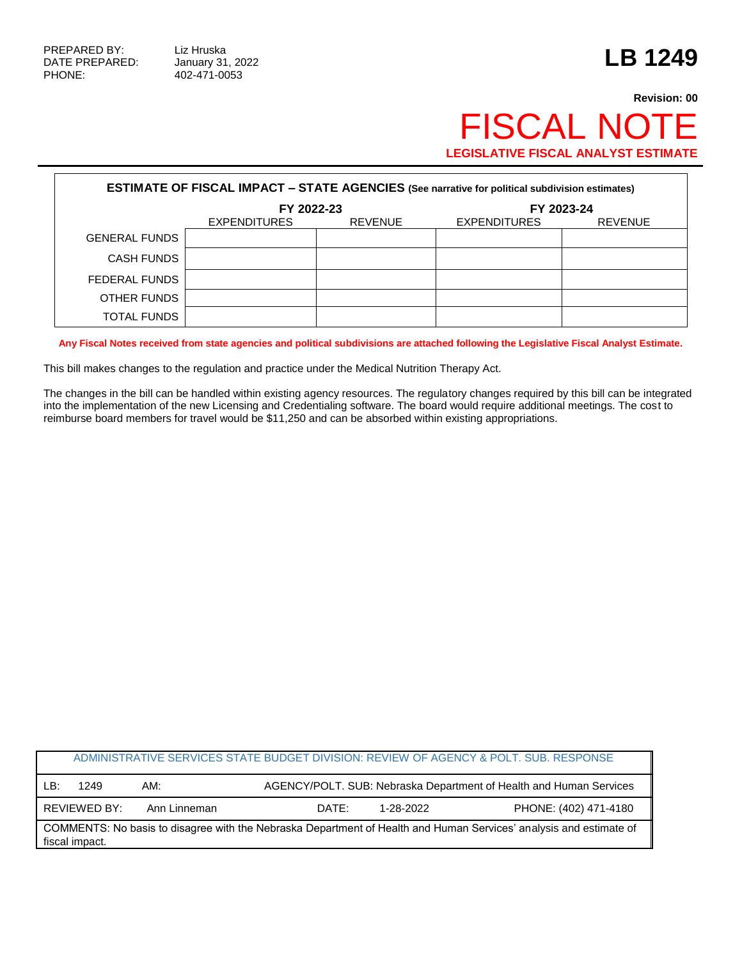PHONE: 402-471-0053

## **Revision: 00** FISCAL NOTE **LEGISLATIVE FISCAL ANALYST ESTIMATE**

| <b>ESTIMATE OF FISCAL IMPACT - STATE AGENCIES (See narrative for political subdivision estimates)</b> |                     |                |                     |                |  |  |  |  |  |
|-------------------------------------------------------------------------------------------------------|---------------------|----------------|---------------------|----------------|--|--|--|--|--|
|                                                                                                       | FY 2022-23          |                | FY 2023-24          |                |  |  |  |  |  |
|                                                                                                       | <b>EXPENDITURES</b> | <b>REVENUE</b> | <b>EXPENDITURES</b> | <b>REVENUE</b> |  |  |  |  |  |
| <b>GENERAL FUNDS</b>                                                                                  |                     |                |                     |                |  |  |  |  |  |
| <b>CASH FUNDS</b>                                                                                     |                     |                |                     |                |  |  |  |  |  |
| FEDERAL FUNDS                                                                                         |                     |                |                     |                |  |  |  |  |  |
| OTHER FUNDS                                                                                           |                     |                |                     |                |  |  |  |  |  |
| <b>TOTAL FUNDS</b>                                                                                    |                     |                |                     |                |  |  |  |  |  |

**Any Fiscal Notes received from state agencies and political subdivisions are attached following the Legislative Fiscal Analyst Estimate.**

This bill makes changes to the regulation and practice under the Medical Nutrition Therapy Act.

The changes in the bill can be handled within existing agency resources. The regulatory changes required by this bill can be integrated into the implementation of the new Licensing and Credentialing software. The board would require additional meetings. The cost to reimburse board members for travel would be \$11,250 and can be absorbed within existing appropriations.

| ADMINISTRATIVE SERVICES STATE BUDGET DIVISION: REVIEW OF AGENCY & POLT. SUB. RESPONSE                                                |              |              |       |                                                                    |                       |  |  |  |
|--------------------------------------------------------------------------------------------------------------------------------------|--------------|--------------|-------|--------------------------------------------------------------------|-----------------------|--|--|--|
| LB:                                                                                                                                  | 1249         | AM:          |       | AGENCY/POLT. SUB: Nebraska Department of Health and Human Services |                       |  |  |  |
|                                                                                                                                      | REVIEWED BY: | Ann Linneman | DATE: | 1-28-2022                                                          | PHONE: (402) 471-4180 |  |  |  |
| COMMENTS: No basis to disagree with the Nebraska Department of Health and Human Services' analysis and estimate of<br>fiscal impact. |              |              |       |                                                                    |                       |  |  |  |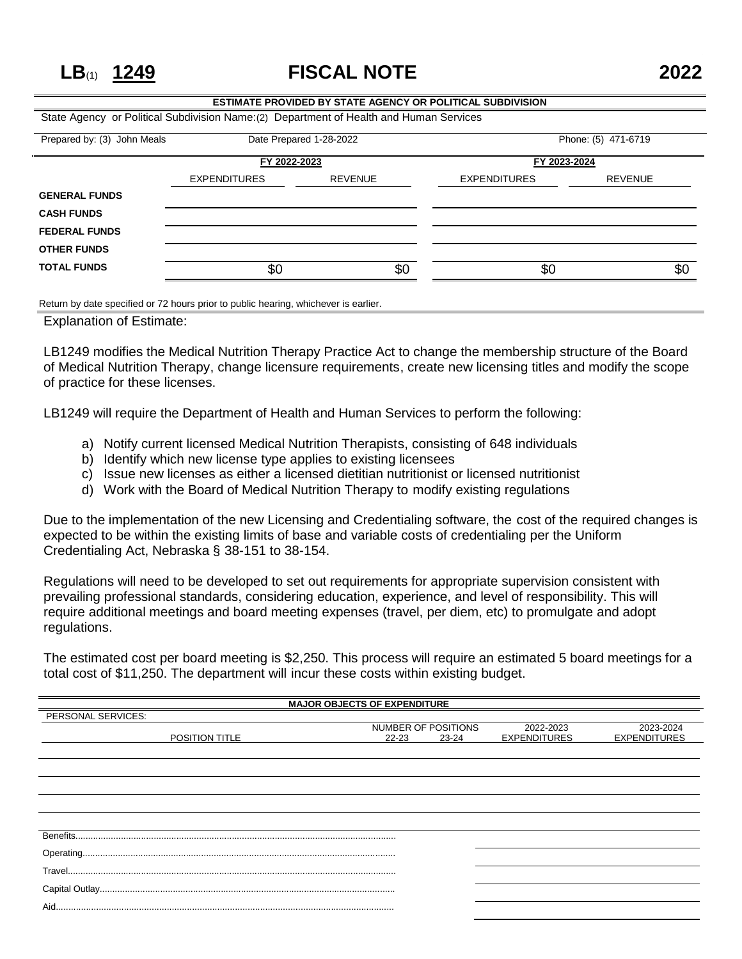**LB**(1) **1249 FISCAL NOTE 2022**

## **ESTIMATE PROVIDED BY STATE AGENCY OR POLITICAL SUBDIVISION** State Agency or Political Subdivision Name:(2) Department of Health and Human Services Prepared by: (3) John Meals Date Prepared 1-28-2022 Phone: (5) 471-6719 **FY 2022-2023 FY 2023-2024** EXPENDITURES REVENUE EXPENDITURES REVENUE **GENERAL FUNDS CASH FUNDS FEDERAL FUNDS OTHER FUNDS TOTAL FUNDS** \$0 \$0 \$0 \$0

Return by date specified or 72 hours prior to public hearing, whichever is earlier.

Explanation of Estimate:

LB1249 modifies the Medical Nutrition Therapy Practice Act to change the membership structure of the Board of Medical Nutrition Therapy, change licensure requirements, create new licensing titles and modify the scope of practice for these licenses.

LB1249 will require the Department of Health and Human Services to perform the following:

- a) Notify current licensed Medical Nutrition Therapists, consisting of 648 individuals
- b) Identify which new license type applies to existing licensees
- c) Issue new licenses as either a licensed dietitian nutritionist or licensed nutritionist
- d) Work with the Board of Medical Nutrition Therapy to modify existing regulations

Due to the implementation of the new Licensing and Credentialing software, the cost of the required changes is expected to be within the existing limits of base and variable costs of credentialing per the Uniform Credentialing Act, Nebraska § 38-151 to 38-154.

Regulations will need to be developed to set out requirements for appropriate supervision consistent with prevailing professional standards, considering education, experience, and level of responsibility. This will require additional meetings and board meeting expenses (travel, per diem, etc) to promulgate and adopt regulations.

The estimated cost per board meeting is \$2,250. This process will require an estimated 5 board meetings for a total cost of \$11,250. The department will incur these costs within existing budget.

| <b>MAJOR OBJECTS OF EXPENDITURE</b> |                     |       |                     |                     |  |  |  |  |
|-------------------------------------|---------------------|-------|---------------------|---------------------|--|--|--|--|
| PERSONAL SERVICES:                  |                     |       |                     |                     |  |  |  |  |
|                                     | NUMBER OF POSITIONS |       | 2022-2023           | 2023-2024           |  |  |  |  |
| <b>POSITION TITLE</b>               | $22 - 23$           | 23-24 | <b>EXPENDITURES</b> | <b>EXPENDITURES</b> |  |  |  |  |
|                                     |                     |       |                     |                     |  |  |  |  |
|                                     |                     |       |                     |                     |  |  |  |  |
|                                     |                     |       |                     |                     |  |  |  |  |
|                                     |                     |       |                     |                     |  |  |  |  |
|                                     |                     |       |                     |                     |  |  |  |  |
|                                     |                     |       |                     |                     |  |  |  |  |
|                                     |                     |       |                     |                     |  |  |  |  |
|                                     |                     |       |                     |                     |  |  |  |  |
|                                     |                     |       |                     |                     |  |  |  |  |
|                                     |                     |       |                     |                     |  |  |  |  |